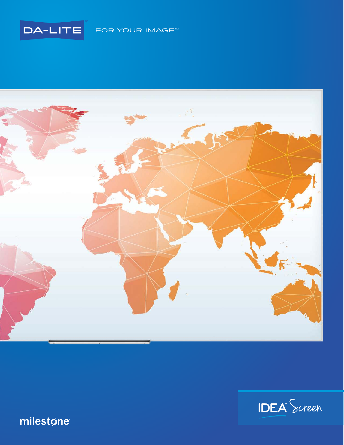





## milestøne